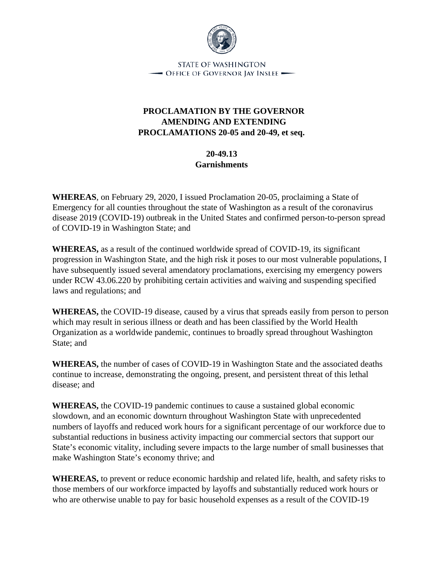

STATE OF WASHINGTON  $\rightarrow$  Office of Governor Jay Inslee  $\rightarrow$ 

## **PROCLAMATION BY THE GOVERNOR AMENDING AND EXTENDING PROCLAMATIONS 20-05 and 20-49, et seq.**

**20-49.13 Garnishments** 

**WHEREAS**, on February 29, 2020, I issued Proclamation 20-05, proclaiming a State of Emergency for all counties throughout the state of Washington as a result of the coronavirus disease 2019 (COVID-19) outbreak in the United States and confirmed person-to-person spread of COVID-19 in Washington State; and

**WHEREAS,** as a result of the continued worldwide spread of COVID-19, its significant progression in Washington State, and the high risk it poses to our most vulnerable populations, I have subsequently issued several amendatory proclamations, exercising my emergency powers under RCW 43.06.220 by prohibiting certain activities and waiving and suspending specified laws and regulations; and

**WHEREAS,** the COVID-19 disease, caused by a virus that spreads easily from person to person which may result in serious illness or death and has been classified by the World Health Organization as a worldwide pandemic, continues to broadly spread throughout Washington State; and

**WHEREAS,** the number of cases of COVID-19 in Washington State and the associated deaths continue to increase, demonstrating the ongoing, present, and persistent threat of this lethal disease; and

**WHEREAS,** the COVID-19 pandemic continues to cause a sustained global economic slowdown, and an economic downturn throughout Washington State with unprecedented numbers of layoffs and reduced work hours for a significant percentage of our workforce due to substantial reductions in business activity impacting our commercial sectors that support our State's economic vitality, including severe impacts to the large number of small businesses that make Washington State's economy thrive; and

**WHEREAS,** to prevent or reduce economic hardship and related life, health, and safety risks to those members of our workforce impacted by layoffs and substantially reduced work hours or who are otherwise unable to pay for basic household expenses as a result of the COVID-19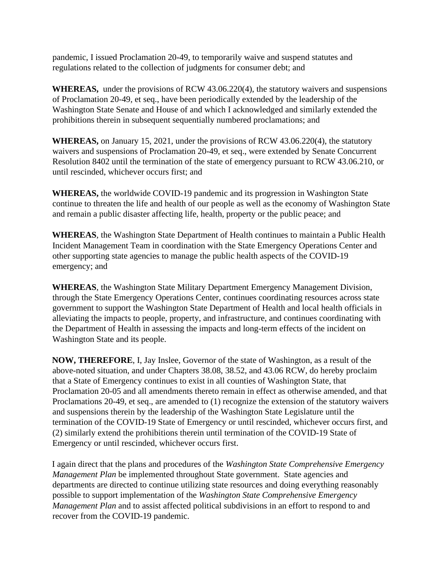pandemic, I issued Proclamation 20-49, to temporarily waive and suspend statutes and regulations related to the collection of judgments for consumer debt; and

**WHEREAS,** under the provisions of RCW 43.06.220(4), the statutory waivers and suspensions of Proclamation 20-49, et seq., have been periodically extended by the leadership of the Washington State Senate and House of and which I acknowledged and similarly extended the prohibitions therein in subsequent sequentially numbered proclamations; and

**WHEREAS,** on January 15, 2021, under the provisions of RCW 43.06.220(4), the statutory waivers and suspensions of Proclamation 20-49, et seq., were extended by Senate Concurrent Resolution 8402 until the termination of the state of emergency pursuant to RCW 43.06.210, or until rescinded, whichever occurs first; and

**WHEREAS,** the worldwide COVID-19 pandemic and its progression in Washington State continue to threaten the life and health of our people as well as the economy of Washington State and remain a public disaster affecting life, health, property or the public peace; and

**WHEREAS**, the Washington State Department of Health continues to maintain a Public Health Incident Management Team in coordination with the State Emergency Operations Center and other supporting state agencies to manage the public health aspects of the COVID-19 emergency; and

**WHEREAS**, the Washington State Military Department Emergency Management Division, through the State Emergency Operations Center, continues coordinating resources across state government to support the Washington State Department of Health and local health officials in alleviating the impacts to people, property, and infrastructure, and continues coordinating with the Department of Health in assessing the impacts and long-term effects of the incident on Washington State and its people.

**NOW, THEREFORE**, I, Jay Inslee, Governor of the state of Washington, as a result of the above-noted situation, and under Chapters 38.08, 38.52, and 43.06 RCW, do hereby proclaim that a State of Emergency continues to exist in all counties of Washington State, that Proclamation 20-05 and all amendments thereto remain in effect as otherwise amended, and that Proclamations 20-49, et seq., are amended to (1) recognize the extension of the statutory waivers and suspensions therein by the leadership of the Washington State Legislature until the termination of the COVID-19 State of Emergency or until rescinded, whichever occurs first, and (2) similarly extend the prohibitions therein until termination of the COVID-19 State of Emergency or until rescinded, whichever occurs first.

I again direct that the plans and procedures of the *Washington State Comprehensive Emergency Management Plan* be implemented throughout State government. State agencies and departments are directed to continue utilizing state resources and doing everything reasonably possible to support implementation of the *Washington State Comprehensive Emergency Management Plan* and to assist affected political subdivisions in an effort to respond to and recover from the COVID-19 pandemic.